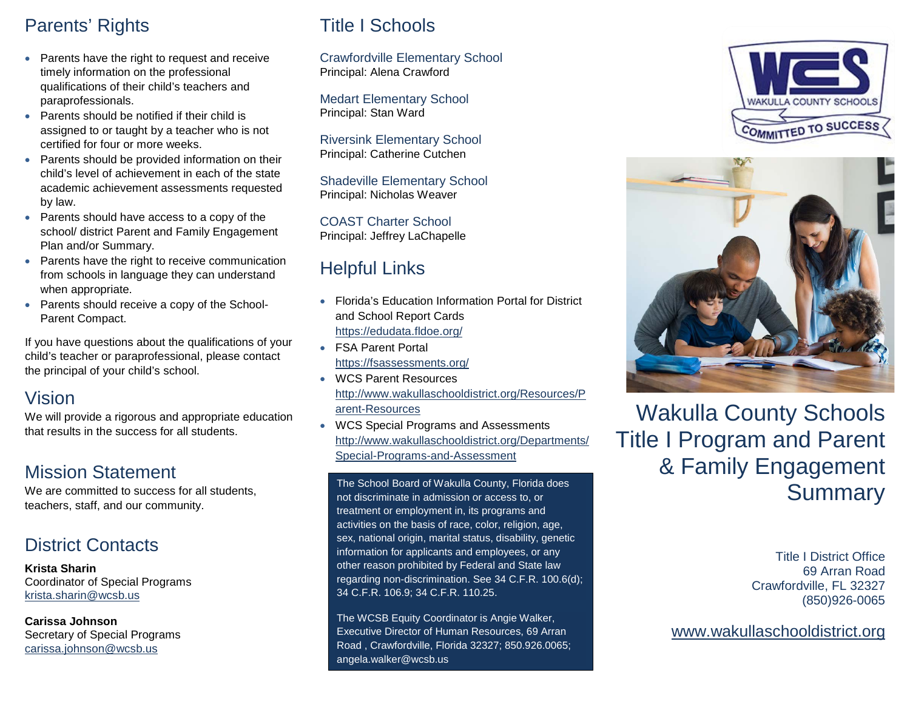# Parents' Rights

- Parents have the right to request and receive timely information on the professional qualifications of their child's teachers and paraprofessionals.
- Parents should be notified if their child is assigned to or taught by a teacher who is not certified for four or more weeks.
- Parents should be provided information on their child's level of achievement in each of the state academic achievement assessments requested by law.
- Parents should have access to a copy of the school/ district Parent and Family Engagement Plan and/or Summary.
- Parents have the right to receive communication from schools in language they can understand when appropriate.
- Parents should receive a copy of the School-Parent Compact.

If you have questions about the qualifications of your child's teacher or paraprofessional, please contact the principal of your child's school.

## Vision

We will provide a rigorous and appropriate education that results in the success for all students.

# Mission Statement

We are committed to success for all students. teachers, staff, and our community.

# District Contacts

**Krista Sharin** Coordinator of Special Programs [krista.sharin@wcsb.us](mailto:krista.sharin@wcsb.us)

**Carissa Johnson** Secretary of Special Programs [carissa.johnson@wcsb.us](mailto:carissa.johnson@wcsb.us)

# Title I Schools

Crawfordville Elementary School Principal: Alena Crawford

Medart Elementary School Principal: Stan Ward

Riversink Elementary School Principal: Catherine Cutchen

Shadeville Elementary School Principal: Nicholas Weaver

COAST Charter School Principal: Jeffrey LaChapelle

# Helpful Links

- Florida's Education Information Portal for District and School Report Cards <https://edudata.fldoe.org/>
- FSA Parent Portal <https://fsassessments.org/>
- WCS Parent Resources [http://www.wakullaschooldistrict.org/Resources/P](http://www.wakullaschooldistrict.org/Resources/Parent-Resources) [arent-Resources](http://www.wakullaschooldistrict.org/Resources/Parent-Resources)
- WCS Special Programs and Assessments [http://www.wakullaschooldistrict.org/Departments/](http://www.wakullaschooldistrict.org/Departments/Special-Programs-and-Assessment) [Special-Programs-and-Assessment](http://www.wakullaschooldistrict.org/Departments/Special-Programs-and-Assessment)

The School Board of Wakulla County, Florida does not discriminate in admission or access to, or treatment or employment in, its programs and activities on the basis of race, color, religion, age, sex, national origin, marital status, disability, genetic information for applicants and employees, or any other reason prohibited by Federal and State law regarding non-discrimination. See 34 C.F.R. 100.6(d); 34 C.F.R. 106.9; 34 C.F.R. 110.25.

The WCSB Equity Coordinator is Angie Walker, Executive Director of Human Resources, 69 Arran Road , Crawfordville, Florida 32327; 850.926.0065; angela.walker@wcsb.us





Wakulla County Schools Title I Program and Parent & Family Engagement Summary

> Title I District Office 69 Arran Road Crawfordville, FL 32327 (850)926-0065

[www.wakullaschooldistrict.org](http://www.wakullaschooldistrict.org/)